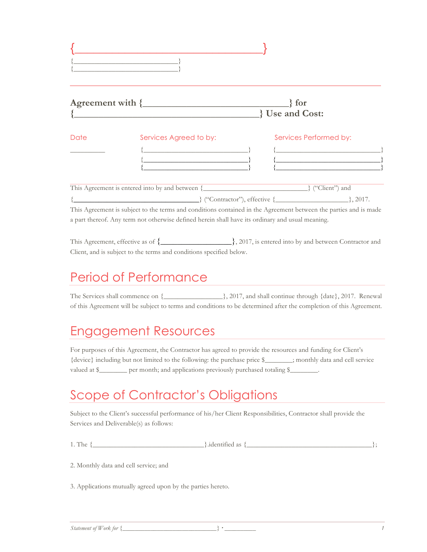|      | Agreement with {<br><u> 1989 - Andrea State Barbara, amerikan personal di sebagai personal di sebagai personal di sebagai personal d</u> | $\}$ for<br><b>J</b> Use and Cost:                                                                                                                                                                               |
|------|------------------------------------------------------------------------------------------------------------------------------------------|------------------------------------------------------------------------------------------------------------------------------------------------------------------------------------------------------------------|
| Date | Services Agreed to by:                                                                                                                   | Services Performed by:<br><u> Andreas Andreas Andreas Andreas Andreas Andreas Andreas Andreas Andreas Andreas Andreas Andreas Andreas Andreas</u>                                                                |
|      | a part thereof. Any term not otherwise defined herein shall have its ordinary and usual meaning.                                         | $\{\text{``Contractor''}\}\$ , effective { $\{\_\_\_\_\_\_\_\_\_\_\_\_\_\_\_\_\_.\}$ , 2017.<br>This Agreement is subject to the terms and conditions contained in the Agreement between the parties and is made |

This Agreement, effective as of  $\{\_\_\_\_\_\_\_\_\_$ , 2017, is entered into by and between Contractor and Client, and is subject to the terms and conditions specified below.

### Period of Performance

The Services shall commence on {\_\_\_\_\_\_\_\_\_\_\_\_\_\_\_\_\_}, 2017, and shall continue through {date}, 2017. Renewal of this Agreement will be subject to terms and conditions to be determined after the completion of this Agreement.

#### Engagement Resources

For purposes of this Agreement, the Contractor has agreed to provide the resources and funding for Client's {device} including but not limited to the following: the purchase price \$\_\_\_\_\_\_\_\_; monthly data and cell service valued at \$\_\_\_\_\_\_\_\_\_ per month; and applications previously purchased totaling \$\_

#### Scope of Contractor's Obligations

Subject to the Client's successful performance of his/her Client Responsibilities, Contractor shall provide the Services and Deliverable(s) as follows:

| $7 - 11$ |                                       |  |
|----------|---------------------------------------|--|
| 1. The   | 16 I C<br>$\cdots$<br>$·$ $\alpha$ ., |  |
|          |                                       |  |

2. Monthly data and cell service; and

3. Applications mutually agreed upon by the parties hereto.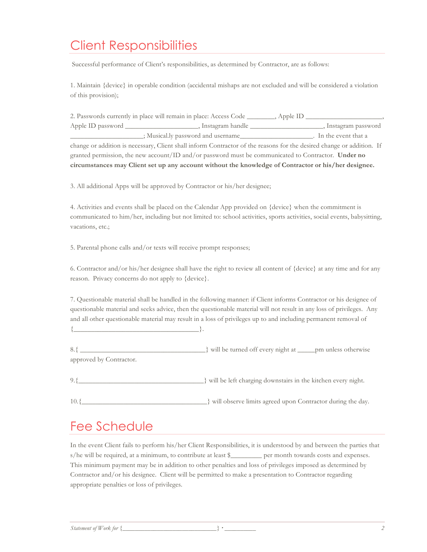## Client Responsibilities

Successful performance of Client's responsibilities, as determined by Contractor, are as follows:

1. Maintain {device} in operable condition (accidental mishaps are not excluded and will be considered a violation of this provision);

| 2. Passwords currently in place will remain in place: Access Code                                                     |                                    | $\_$ , Apple ID $\_$ |  |  |
|-----------------------------------------------------------------------------------------------------------------------|------------------------------------|----------------------|--|--|
|                                                                                                                       | , Instagram handle                 | , Instagram password |  |  |
|                                                                                                                       | ; Musical.ly password and username | In the event that a  |  |  |
| change or addition is necessary, Client shall inform Contractor of the reasons for the desired change or addition. If |                                    |                      |  |  |
| granted permission, the new account/ID and/or password must be communicated to Contractor. Under no                   |                                    |                      |  |  |
| circumstances may Client set up any account without the knowledge of Contractor or his/her designee.                  |                                    |                      |  |  |

3. All additional Apps will be approved by Contractor or his/her designee;

4. Activities and events shall be placed on the Calendar App provided on {device} when the commitment is communicated to him/her, including but not limited to: school activities, sports activities, social events, babysitting, vacations, etc.;

5. Parental phone calls and/or texts will receive prompt responses;

6. Contractor and/or his/her designee shall have the right to review all content of {device} at any time and for any reason. Privacy concerns do not apply to {device}.

7. Questionable material shall be handled in the following manner: if Client informs Contractor or his designee of questionable material and seeks advice, then the questionable material will not result in any loss of privileges. Any and all other questionable material may result in a loss of privileges up to and including permanent removal of  $\{\_$ 

8.{ \_\_\_\_\_\_\_\_\_\_\_\_\_\_\_\_\_\_\_\_\_\_\_\_\_\_\_\_\_\_\_\_\_\_\_\_} will be turned off every night at \_\_\_\_\_pm unless otherwise approved by Contractor.

9.{\_\_\_\_\_\_\_\_\_\_\_\_\_\_\_\_\_\_\_\_\_\_\_\_\_\_\_\_\_\_\_\_\_\_\_\_} will be left charging downstairs in the kitchen every night.

10.{\_\_\_\_\_\_\_\_\_\_\_\_\_\_\_\_\_\_\_\_\_\_\_\_\_\_\_\_\_\_\_\_\_\_\_\_} will observe limits agreed upon Contractor during the day.

### Fee Schedule

In the event Client fails to perform his/her Client Responsibilities, it is understood by and between the parties that s/he will be required, at a minimum, to contribute at least \$\_\_\_\_\_\_\_\_\_ per month towards costs and expenses. This minimum payment may be in addition to other penalties and loss of privileges imposed as determined by Contractor and/or his designee. Client will be permitted to make a presentation to Contractor regarding appropriate penalties or loss of privileges.